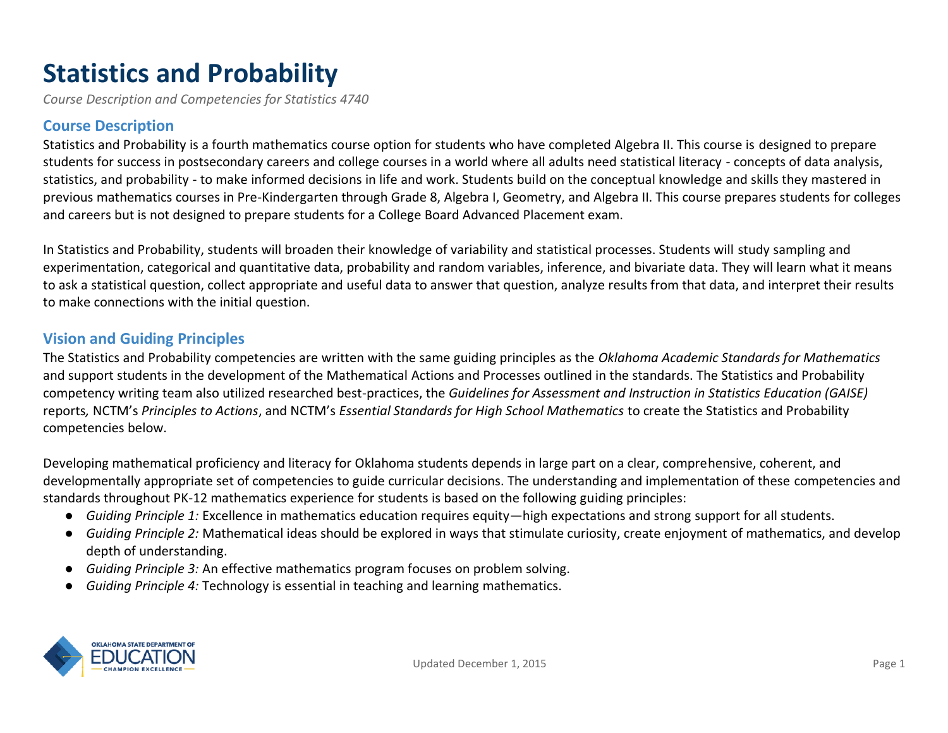# **Statistics and Probability**

*Course Description and Competencies for Statistics 4740* 

#### **Course Description**

Statistics and Probability is a fourth mathematics course option for students who have completed Algebra II. This course is designed to prepare students for success in postsecondary careers and college courses in a world where all adults need statistical literacy - concepts of data analysis, statistics, and probability - to make informed decisions in life and work. Students build on the conceptual knowledge and skills they mastered in previous mathematics courses in Pre-Kindergarten through Grade 8, Algebra I, Geometry, and Algebra II. This course prepares students for colleges and careers but is not designed to prepare students for a College Board Advanced Placement exam.

In Statistics and Probability, students will broaden their knowledge of variability and statistical processes. Students will study sampling and experimentation, categorical and quantitative data, probability and random variables, inference, and bivariate data. They will learn what it means to ask a statistical question, collect appropriate and useful data to answer that question, analyze results from that data, and interpret their results to make connections with the initial question.

## **Vision and Guiding Principles**

The Statistics and Probability competencies are written with the same guiding principles as the *Oklahoma Academic Standards for Mathematics* and support students in the development of the Mathematical Actions and Processes outlined in the standards. The Statistics and Probability competency writing team also utilized researched best-practices, the *Guidelines for Assessment and Instruction in Statistics Education (GAISE)*  reports*,* NCTM's *Principles to Actions*, and NCTM's *Essential Standards for High School Mathematics* to create the Statistics and Probability competencies below.

Developing mathematical proficiency and literacy for Oklahoma students depends in large part on a clear, comprehensive, coherent, and developmentally appropriate set of competencies to guide curricular decisions. The understanding and implementation of these competencies and standards throughout PK-12 mathematics experience for students is based on the following guiding principles:

- *Guiding Principle 1:* Excellence in mathematics education requires equity—high expectations and strong support for all students.
- *Guiding Principle 2:* Mathematical ideas should be explored in ways that stimulate curiosity, create enjoyment of mathematics, and develop depth of understanding.
- *Guiding Principle 3:* An effective mathematics program focuses on problem solving.
- *Guiding Principle 4:* Technology is essential in teaching and learning mathematics.

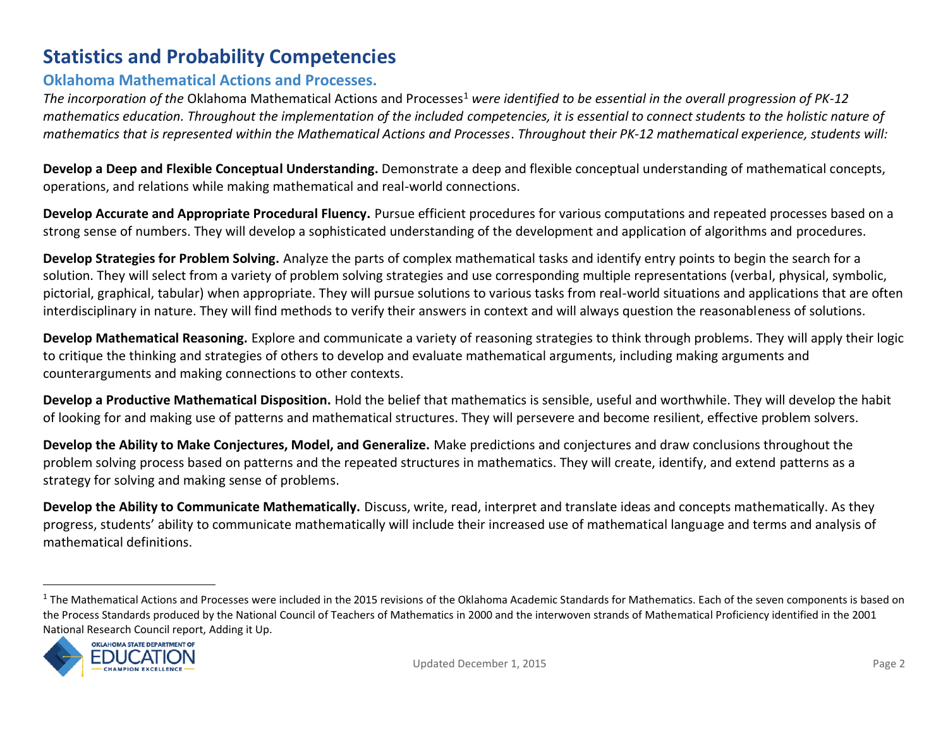## **Statistics and Probability Competencies**

#### **Oklahoma Mathematical Actions and Processes.**

*The incorporation of the Oklahoma Mathematical Actions and Processes<sup>1</sup> were identified to be essential in the overall progression of PK-12 mathematics education. Throughout the implementation of the included competencies, it is essential to connect students to the holistic nature of mathematics that is represented within the Mathematical Actions and Processes*. *Throughout their PK-12 mathematical experience, students will:*

**Develop a Deep and Flexible Conceptual Understanding.** Demonstrate a deep and flexible conceptual understanding of mathematical concepts, operations, and relations while making mathematical and real-world connections.

**Develop Accurate and Appropriate Procedural Fluency.** Pursue efficient procedures for various computations and repeated processes based on a strong sense of numbers. They will develop a sophisticated understanding of the development and application of algorithms and procedures.

**Develop Strategies for Problem Solving.** Analyze the parts of complex mathematical tasks and identify entry points to begin the search for a solution. They will select from a variety of problem solving strategies and use corresponding multiple representations (verbal, physical, symbolic, pictorial, graphical, tabular) when appropriate. They will pursue solutions to various tasks from real-world situations and applications that are often interdisciplinary in nature. They will find methods to verify their answers in context and will always question the reasonableness of solutions.

**Develop Mathematical Reasoning.** Explore and communicate a variety of reasoning strategies to think through problems. They will apply their logic to critique the thinking and strategies of others to develop and evaluate mathematical arguments, including making arguments and counterarguments and making connections to other contexts.

**Develop a Productive Mathematical Disposition.** Hold the belief that mathematics is sensible, useful and worthwhile. They will develop the habit of looking for and making use of patterns and mathematical structures. They will persevere and become resilient, effective problem solvers.

**Develop the Ability to Make Conjectures, Model, and Generalize.** Make predictions and conjectures and draw conclusions throughout the problem solving process based on patterns and the repeated structures in mathematics. They will create, identify, and extend patterns as a strategy for solving and making sense of problems.

**Develop the Ability to Communicate Mathematically.** Discuss, write, read, interpret and translate ideas and concepts mathematically. As they progress, students' ability to communicate mathematically will include their increased use of mathematical language and terms and analysis of mathematical definitions.

 $1$  The Mathematical Actions and Processes were included in the 2015 revisions of the Oklahoma Academic Standards for Mathematics. Each of the seven components is based on the Process Standards produced by the National Council of Teachers of Mathematics in 2000 and the interwoven strands of Mathematical Proficiency identified in the 2001 National Research Council report, Adding it Up.

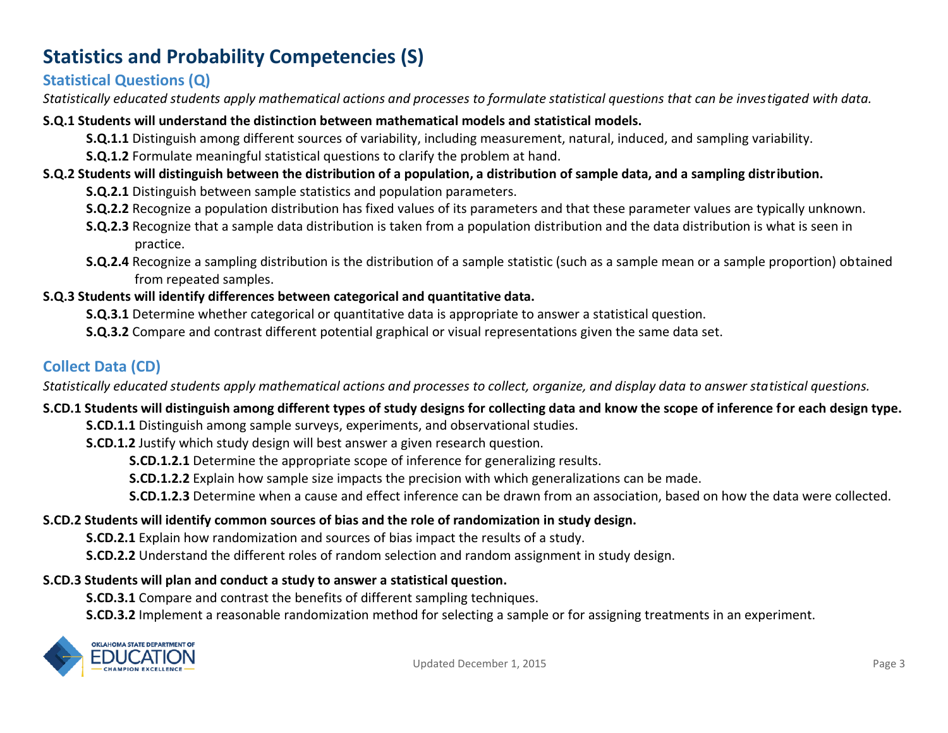## **Statistics and Probability Competencies (S)**

## **Statistical Questions (Q)**

*Statistically educated students apply mathematical actions and processes to formulate statistical questions that can be investigated with data.* 

#### **S.Q.1 Students will understand the distinction between mathematical models and statistical models.**

**S.Q.1.1** Distinguish among different sources of variability, including measurement, natural, induced, and sampling variability.

**S.Q.1.2** Formulate meaningful statistical questions to clarify the problem at hand.

## **S.Q.2 Students will distinguish between the distribution of a population, a distribution of sample data, and a sampling distribution.**

- **S.Q.2.1** Distinguish between sample statistics and population parameters.
- **S.Q.2.2** Recognize a population distribution has fixed values of its parameters and that these parameter values are typically unknown.
- **S.Q.2.3** Recognize that a sample data distribution is taken from a population distribution and the data distribution is what is seen in practice.
- **S.Q.2.4** Recognize a sampling distribution is the distribution of a sample statistic (such as a sample mean or a sample proportion) obtained from repeated samples.

## **S.Q.3 Students will identify differences between categorical and quantitative data.**

- **S.Q.3.1** Determine whether categorical or quantitative data is appropriate to answer a statistical question.
- **S.Q.3.2** Compare and contrast different potential graphical or visual representations given the same data set.

## **Collect Data (CD)**

*Statistically educated students apply mathematical actions and processes to collect, organize, and display data to answer statistical questions.*

## **S.CD.1 Students will distinguish among different types of study designs for collecting data and know the scope of inference for each design type.**

- **S.CD.1.1** Distinguish among sample surveys, experiments, and observational studies.
- **S.CD.1.2** Justify which study design will best answer a given research question.
	- **S.CD.1.2.1** Determine the appropriate scope of inference for generalizing results.
	- **S.CD.1.2.2** Explain how sample size impacts the precision with which generalizations can be made.
	- **S.CD.1.2.3** Determine when a cause and effect inference can be drawn from an association, based on how the data were collected.

## **S.CD.2 Students will identify common sources of bias and the role of randomization in study design.**

**S.CD.2.1** Explain how randomization and sources of bias impact the results of a study.

**S.CD.2.2** Understand the different roles of random selection and random assignment in study design.

## **S.CD.3 Students will plan and conduct a study to answer a statistical question.**

**S.CD.3.1** Compare and contrast the benefits of different sampling techniques.

**S.CD.3.2** Implement a reasonable randomization method for selecting a sample or for assigning treatments in an experiment.

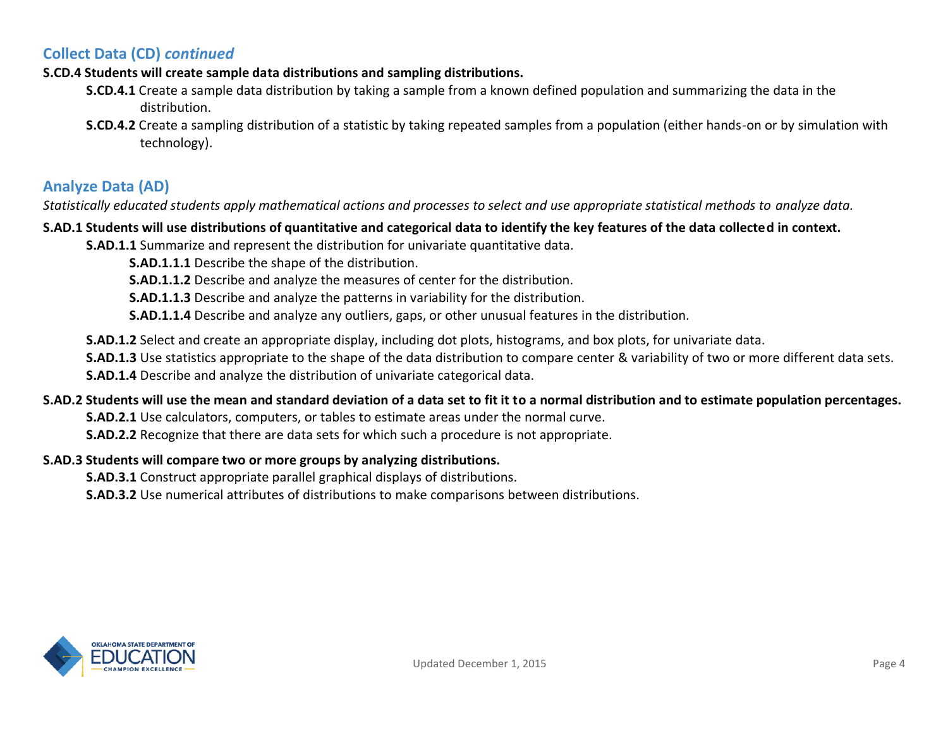#### **Collect Data (CD)** *continued*

#### **S.CD.4 Students will create sample data distributions and sampling distributions.**

- **S.CD.4.1** Create a sample data distribution by taking a sample from a known defined population and summarizing the data in the distribution.
- **S.CD.4.2** Create a sampling distribution of a statistic by taking repeated samples from a population (either hands-on or by simulation with technology).

## **Analyze Data (AD)**

*Statistically educated students apply mathematical actions and processes to select and use appropriate statistical methods to analyze data.*

#### **S.AD.1 Students will use distributions of quantitative and categorical data to identify the key features of the data collected in context.**

**S.AD.1.1** Summarize and represent the distribution for univariate quantitative data.

**S.AD.1.1.1** Describe the shape of the distribution.

**S.AD.1.1.2** Describe and analyze the measures of center for the distribution.

**S.AD.1.1.3** Describe and analyze the patterns in variability for the distribution.

**S.AD.1.1.4** Describe and analyze any outliers, gaps, or other unusual features in the distribution.

**S.AD.1.2** Select and create an appropriate display, including dot plots, histograms, and box plots, for univariate data.

**S.AD.1.3** Use statistics appropriate to the shape of the data distribution to compare center & variability of two or more different data sets. **S.AD.1.4** Describe and analyze the distribution of univariate categorical data.

#### **S.AD.2 Students will use the mean and standard deviation of a data set to fit it to a normal distribution and to estimate population percentages.**

**S.AD.2.1** Use calculators, computers, or tables to estimate areas under the normal curve.

**S.AD.2.2** Recognize that there are data sets for which such a procedure is not appropriate.

#### **S.AD.3 Students will compare two or more groups by analyzing distributions.**

**S.AD.3.1** Construct appropriate parallel graphical displays of distributions.

**S.AD.3.2** Use numerical attributes of distributions to make comparisons between distributions.

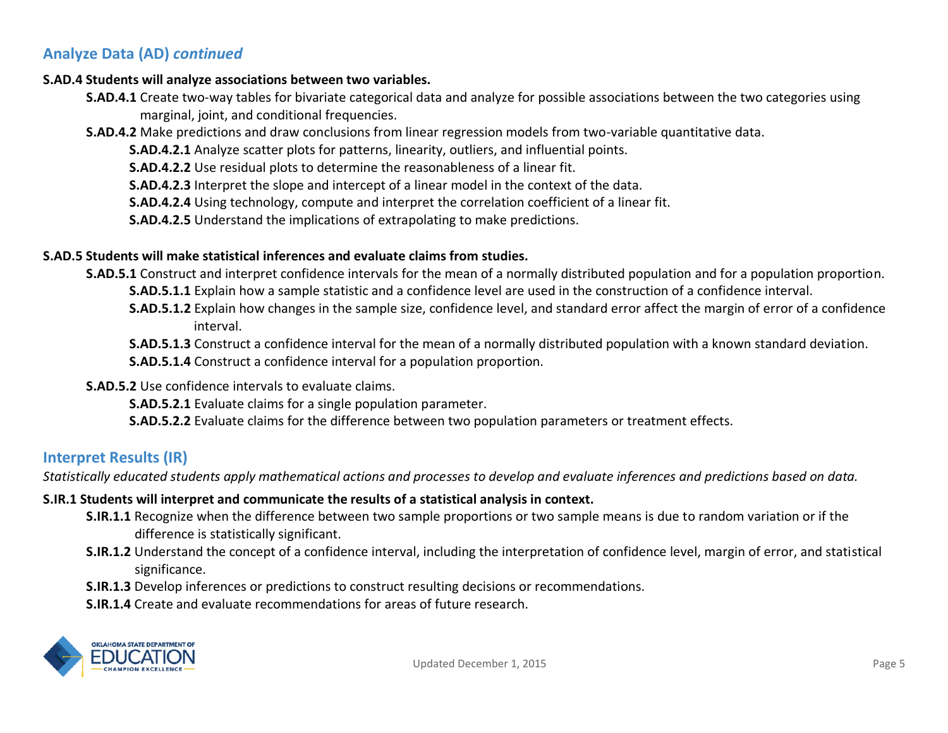## **Analyze Data (AD)** *continued*

#### **S.AD.4 Students will analyze associations between two variables.**

- **S.AD.4.1** Create two-way tables for bivariate categorical data and analyze for possible associations between the two categories using marginal, joint, and conditional frequencies.
- **S.AD.4.2** Make predictions and draw conclusions from linear regression models from two-variable quantitative data.

**S.AD.4.2.1** Analyze scatter plots for patterns, linearity, outliers, and influential points.

**S.AD.4.2.2** Use residual plots to determine the reasonableness of a linear fit.

**S.AD.4.2.3** Interpret the slope and intercept of a linear model in the context of the data.

**S.AD.4.2.4** Using technology, compute and interpret the correlation coefficient of a linear fit.

**S.AD.4.2.5** Understand the implications of extrapolating to make predictions.

#### **S.AD.5 Students will make statistical inferences and evaluate claims from studies.**

**S.AD.5.1** Construct and interpret confidence intervals for the mean of a normally distributed population and for a population proportion. **S.AD.5.1.1** Explain how a sample statistic and a confidence level are used in the construction of a confidence interval.

**S.AD.5.1.2** Explain how changes in the sample size, confidence level, and standard error affect the margin of error of a confidence interval.

**S.AD.5.1.3** Construct a confidence interval for the mean of a normally distributed population with a known standard deviation.

**S.AD.5.1.4** Construct a confidence interval for a population proportion.

**S.AD.5.2** Use confidence intervals to evaluate claims.

**S.AD.5.2.1** Evaluate claims for a single population parameter.

**S.AD.5.2.2** Evaluate claims for the difference between two population parameters or treatment effects.

#### **Interpret Results (IR)**

*Statistically educated students apply mathematical actions and processes to develop and evaluate inferences and predictions based on data.*

#### **S.IR.1 Students will interpret and communicate the results of a statistical analysis in context.**

- **S.IR.1.1** Recognize when the difference between two sample proportions or two sample means is due to random variation or if the difference is statistically significant.
- **S.IR.1.2** Understand the concept of a confidence interval, including the interpretation of confidence level, margin of error, and statistical significance.
- **S.IR.1.3** Develop inferences or predictions to construct resulting decisions or recommendations.
- **S.IR.1.4** Create and evaluate recommendations for areas of future research.

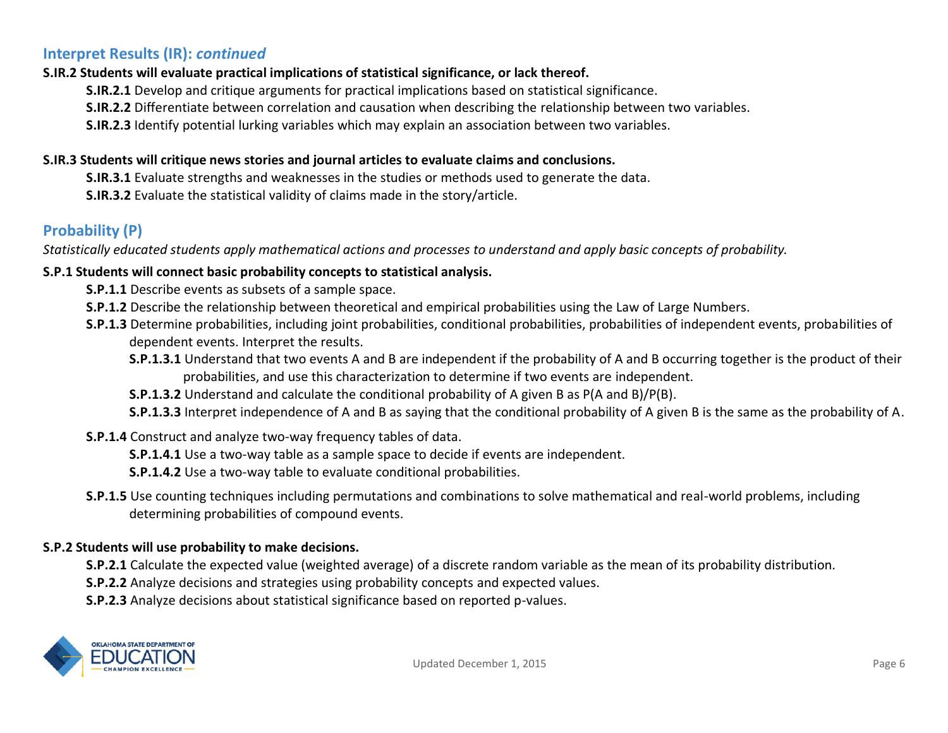#### **Interpret Results (IR):** *continued*

#### **S.IR.2 Students will evaluate practical implications of statistical significance, or lack thereof.**

**S.IR.2.1** Develop and critique arguments for practical implications based on statistical significance.

**S.IR.2.2** Differentiate between correlation and causation when describing the relationship between two variables.

**S.IR.2.3** Identify potential lurking variables which may explain an association between two variables.

#### **S.IR.3 Students will critique news stories and journal articles to evaluate claims and conclusions.**

**S.IR.3.1** Evaluate strengths and weaknesses in the studies or methods used to generate the data.

**S.IR.3.2** Evaluate the statistical validity of claims made in the story/article.

## **Probability (P)**

*Statistically educated students apply mathematical actions and processes to understand and apply basic concepts of probability.*

#### **S.P.1 Students will connect basic probability concepts to statistical analysis.**

**S.P.1.1** Describe events as subsets of a sample space.

- **S.P.1.2** Describe the relationship between theoretical and empirical probabilities using the Law of Large Numbers.
- **S.P.1.3** Determine probabilities, including joint probabilities, conditional probabilities, probabilities of independent events, probabilities of dependent events. Interpret the results.

**S.P.1.3.1** Understand that two events A and B are independent if the probability of A and B occurring together is the product of their probabilities, and use this characterization to determine if two events are independent.

**S.P.1.3.2** Understand and calculate the conditional probability of A given B as P(A and B)/P(B).

**S.P.1.3.3** Interpret independence of A and B as saying that the conditional probability of A given B is the same as the probability of A.

#### **S.P.1.4** Construct and analyze two-way frequency tables of data.

**S.P.1.4.1** Use a two-way table as a sample space to decide if events are independent.

**S.P.1.4.2** Use a two-way table to evaluate conditional probabilities.

**S.P.1.5** Use counting techniques including permutations and combinations to solve mathematical and real-world problems, including determining probabilities of compound events.

#### **S.P.2 Students will use probability to make decisions.**

**S.P.2.1** Calculate the expected value (weighted average) of a discrete random variable as the mean of its probability distribution.

**S.P.2.2** Analyze decisions and strategies using probability concepts and expected values.

**S.P.2.3** Analyze decisions about statistical significance based on reported p-values.